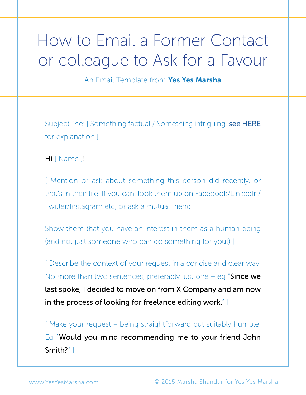## How to Email a Former Contact or colleague to Ask for a Favour

An Email Template from Yes Yes Marsha

Subject line: [Something factual / Something intriguing. [see HERE](http://www.yesyesmarsha.com/subjectlines) for explanation ]

Hi [ Name ]!

[ Mention or ask about something this person did recently, or that's in their life. If you can, look them up on Facebook/LinkedIn/ Twitter/Instagram etc, or ask a mutual friend.

Show them that you have an interest in them as a human being (and not just someone who can do something for you!) ]

[ Describe the context of your request in a concise and clear way. No more than two sentences, preferably just one  $-$  eg "Since we last spoke, I decided to move on from X Company and am now in the process of looking for freelance editing work." ]

[ Make your request – being straightforward but suitably humble. Eg "Would you mind recommending me to your friend John Smith?" ]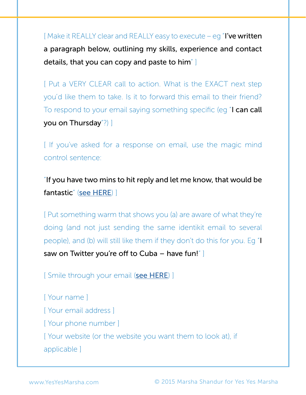$[$  Make it REALLY clear and REALLY easy to execute – eq  $\mathbb{I}'$  ve written a paragraph below, outlining my skills, experience and contact details, that you can copy and paste to him" ]

[ Put a VERY CLEAR call to action. What is the EXACT next step you'd like them to take. Is it to forward this email to their friend? To respond to your email saying something specific (eg "**I can call** you on Thursday"?) ]

[ If you've asked for a response on email, use the magic mind control sentence:

"If you have two mins to hit reply and let me know, that would be fantastic" ([see HERE](http://www.yesyesmarsha.com/mindcontrol)) ]

[ Put something warm that shows you (a) are aware of what they're doing (and not just sending the same identikit email to several people), and (b) will still like them if they don't do this for you. Eg "I saw on Twitter you're off to Cuba – have fun!" ]

[ Smile through your email ([see HERE](http://www.yesyesmarsha.com/mindcontrol)) ]

[ Your name ] [ Your email address ] [ Your phone number ] [ Your website (or the website you want them to look at), if applicable ]